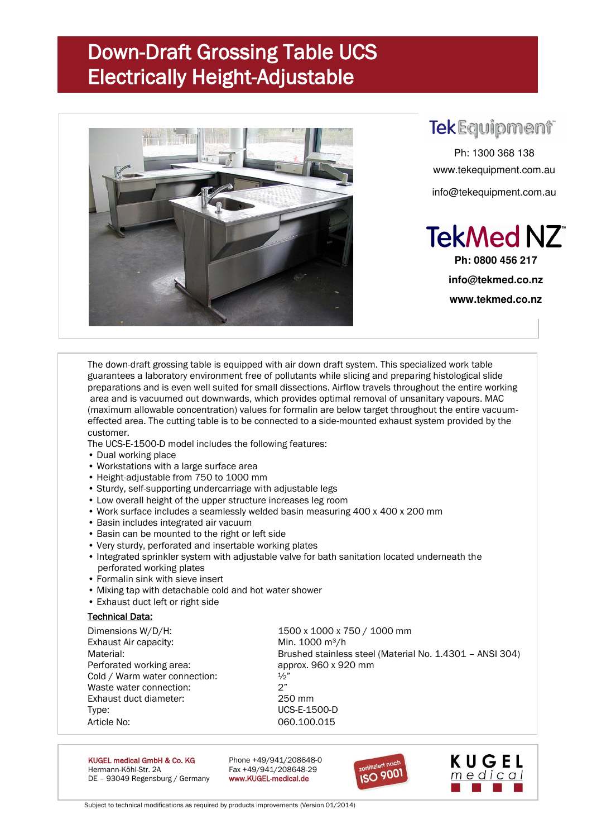## Down-Draft Grossing Table UCS Electrically Height-Adjustable



### **TekEquipment**

Ph: 1300 368 138 www.tekequipment.com.au info@tekequipment.com.au

**TekMed NZ** 

**Ph: 0800 456 217 info@tekmed.co.nz www.tekmed.co.nz** 

The down-draft grossing table is equipped with air down draft system. This specialized work table guarantees a laboratory environment free of pollutants while slicing and preparing histological slide preparations and is even well suited for small dissections. Airflow travels throughout the entire working area and is vacuumed out downwards, which provides optimal removal of unsanitary vapours. MAC (maximum allowable concentration) values for formalin are below target throughout the entire vacuumeffected area. The cutting table is to be connected to a side-mounted exhaust system provided by the customer.

The UCS-E-1500-D model includes the following features:

- Dual working place
- Workstations with a large surface area
- Height-adjustable from 750 to 1000 mm
- Sturdy, self-supporting undercarriage with adjustable legs
- Low overall height of the upper structure increases leg room
- Work surface includes a seamlessly welded basin measuring 400 x 400 x 200 mm
- Basin includes integrated air vacuum
- Basin can be mounted to the right or left side
- Very sturdy, perforated and insertable working plates
- Integrated sprinkler system with adjustable valve for bath sanitation located underneath the perforated working plates
- Formalin sink with sieve insert
- Mixing tap with detachable cold and hot water shower
- Exhaust duct left or right side

#### Technical Data:

Dimensions W/D/H: 1500 x 1000 x 750 / 1000 mm Exhaust Air capacity: Min. 1000 m<sup>3</sup>/h Material: Brushed stainless steel (Material No. 1.4301 – ANSI 304) Perforated working area: approx. 960 x 920 mm Cold / Warm water connection:  $\frac{1}{2}$ " Waste water connection:  $2<sup>n</sup>$ Exhaust duct diameter: 250 mm Type: UCS-E-1500-D Article No: 060.100.015

KUGEL medical GmbH & Co. KG Phone +49/941/208648-0<br>Hermann-Köhl-Str. 2A Phone +49/941/208648-29 DE - 93049 Regensburg / Germany www.KUGEL-medical.de

Fax +49/941/208648-29





Subject to technical modifications as required by products improvements (Version 01/2014)